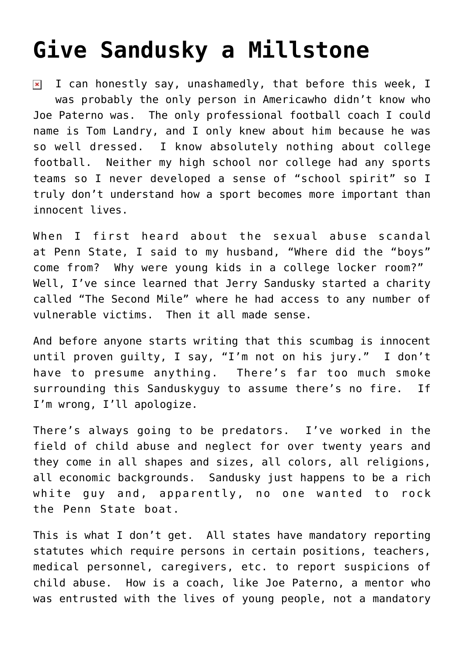## **[Give Sandusky a Millstone](https://bernardgoldberg.com/give-sandusky-a-millstone/)**

I can honestly say, unashamedly, that before this week, I  $\pmb{\times}$ was probably the only person in Americawho didn't know who Joe Paterno was. The only professional football coach I could name is Tom Landry, and I only knew about him because he was so well dressed. I know absolutely nothing about college football. Neither my high school nor college had any sports teams so I never developed a sense of "school spirit" so I truly don't understand how a sport becomes more important than innocent lives.

When I first heard about the sexual abuse scandal at Penn State, I said to my husband, "Where did the "boys" come from? Why were young kids in a college locker room?" Well, I've since learned that Jerry Sandusky started a charity called "The Second Mile" where he had access to any number of vulnerable victims. Then it all made sense.

And before anyone starts writing that this scumbag is innocent until proven guilty, I say, "I'm not on his jury." I don't have to presume anything. There's far too much smoke surrounding this Sanduskyguy to assume there's no fire. If I'm wrong, I'll apologize.

There's always going to be predators. I've worked in the field of child abuse and neglect for over twenty years and they come in all shapes and sizes, all colors, all religions, all economic backgrounds. Sandusky just happens to be a rich white guy and, apparently, no one wanted to rock the Penn State boat.

This is what I don't get. [All](http://www.childwelfare.gov/responding/mandated.cfm) states have mandatory reporting statutes which require persons in certain positions, teachers, medical personnel, caregivers, etc. to report suspicions of child abuse. How is a coach, like Joe Paterno, a mentor who was entrusted with the lives of young people, not a mandatory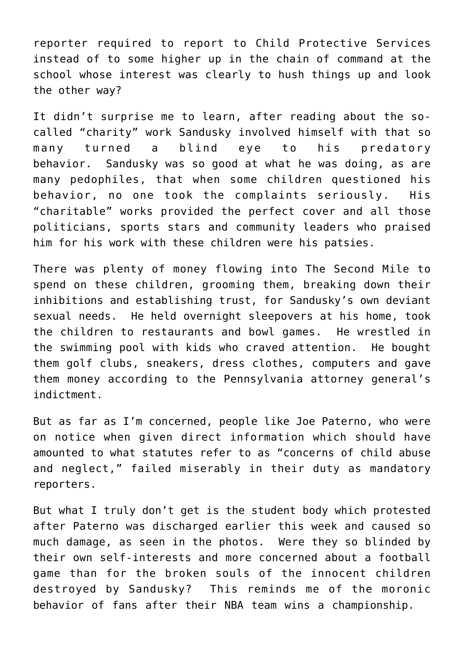reporter required to report to Child Protective Services instead of to some higher up in the chain of command at the school whose interest was clearly to hush things up and look the other way?

It didn't surprise me to learn, after reading about the socalled "charity" work Sandusky involved himself with that so many turned a blind eye to his predatory behavior. Sandusky was so good at what he was doing, as are many pedophiles, that when some children questioned his behavior, no one took the complaints seriously. His "charitable" works provided the perfect cover and all those politicians, sports stars and community leaders who praised him for his work with these children were his patsies.

There was plenty of money flowing into The Second Mile to spend on these children, grooming them, breaking down their inhibitions and establishing trust, for Sandusky's own deviant sexual needs. He held overnight sleepovers at his home, took the children to restaurants and bowl games. He wrestled in the swimming pool with kids who craved attention. He bought them golf clubs, sneakers, dress clothes, computers and gave them money according to the Pennsylvania attorney general's indictment.

But as far as I'm concerned, people like Joe Paterno, who were on notice when given direct information which should have amounted to what statutes refer to as "concerns of child abuse and neglect," failed miserably in their duty as mandatory reporters.

But what I truly don't get is the student body which protested after Paterno was discharged earlier this week and caused so much damage, as seen in the [photos](http://www.buzzfeed.com/mjs538/photos-of-penn-state-students-rioting-over-the-fir). Were they so blinded by their own self-interests and more concerned about a football game than for the broken souls of the innocent children destroyed by Sandusky? This reminds me of the moronic behavior of fans after their NBA team wins a championship.